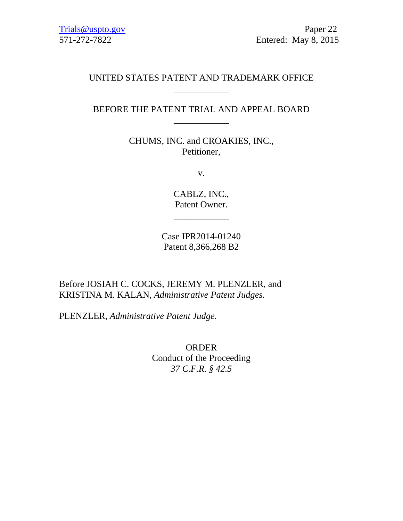## UNITED STATES PATENT AND TRADEMARK OFFICE \_\_\_\_\_\_\_\_\_\_\_\_

### BEFORE THE PATENT TRIAL AND APPEAL BOARD \_\_\_\_\_\_\_\_\_\_\_\_

CHUMS, INC. and CROAKIES, INC., Petitioner,

v.

CABLZ, INC., Patent Owner.

\_\_\_\_\_\_\_\_\_\_\_\_

Case IPR2014-01240 Patent 8,366,268 B2

Before JOSIAH C. COCKS, JEREMY M. PLENZLER, and KRISTINA M. KALAN, *Administrative Patent Judges.* 

PLENZLER, *Administrative Patent Judge.* 

ORDER Conduct of the Proceeding *37 C.F.R. § 42.5*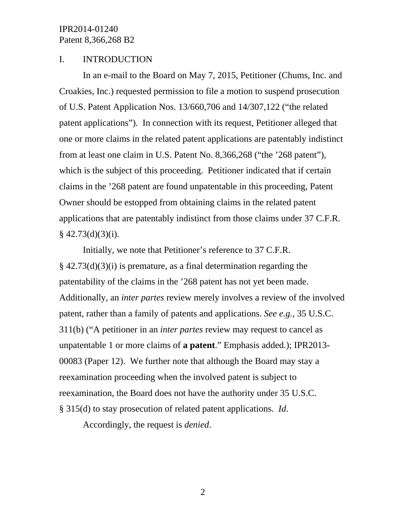# IPR2014-01240 Patent 8,366,268 B2

### I. INTRODUCTION

In an e-mail to the Board on May 7, 2015, Petitioner (Chums, Inc. and Croakies, Inc.) requested permission to file a motion to suspend prosecution of U.S. Patent Application Nos. 13/660,706 and 14/307,122 ("the related patent applications"). In connection with its request, Petitioner alleged that one or more claims in the related patent applications are patentably indistinct from at least one claim in U.S. Patent No. 8,366,268 ("the '268 patent"), which is the subject of this proceeding. Petitioner indicated that if certain claims in the '268 patent are found unpatentable in this proceeding, Patent Owner should be estopped from obtaining claims in the related patent applications that are patentably indistinct from those claims under 37 C.F.R.  $§$  42.73(d)(3)(i).

Initially, we note that Petitioner's reference to 37 C.F.R.  $\S$  42.73(d)(3)(i) is premature, as a final determination regarding the patentability of the claims in the '268 patent has not yet been made. Additionally, an *inter partes* review merely involves a review of the involved patent, rather than a family of patents and applications. *See e.g.*, 35 U.S.C. 311(b) ("A petitioner in an *inter partes* review may request to cancel as unpatentable 1 or more claims of **a patent**." Emphasis added.); IPR2013- 00083 (Paper 12). We further note that although the Board may stay a reexamination proceeding when the involved patent is subject to reexamination, the Board does not have the authority under 35 U.S.C. § 315(d) to stay prosecution of related patent applications. *Id*.

Accordingly, the request is *denied*.